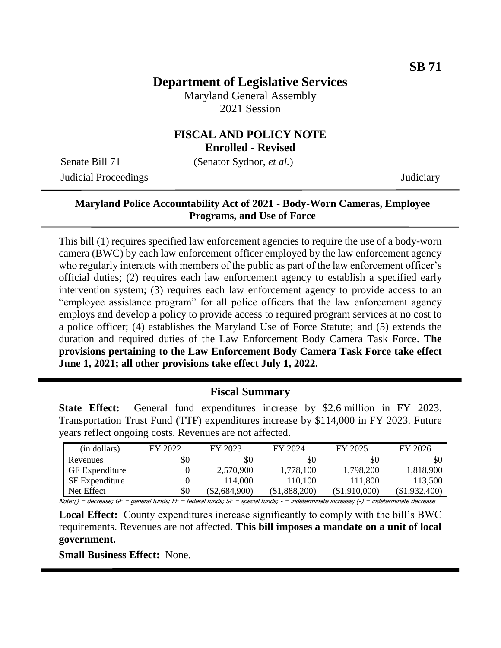# **Department of Legislative Services**

Maryland General Assembly 2021 Session

## **FISCAL AND POLICY NOTE Enrolled - Revised**

Senate Bill 71 (Senator Sydnor, *et al.*)

Judicial Proceedings Judiciary

## **Maryland Police Accountability Act of 2021 - Body-Worn Cameras, Employee Programs, and Use of Force**

This bill (1) requires specified law enforcement agencies to require the use of a body-worn camera (BWC) by each law enforcement officer employed by the law enforcement agency who regularly interacts with members of the public as part of the law enforcement officer's official duties; (2) requires each law enforcement agency to establish a specified early intervention system; (3) requires each law enforcement agency to provide access to an "employee assistance program" for all police officers that the law enforcement agency employs and develop a policy to provide access to required program services at no cost to a police officer; (4) establishes the Maryland Use of Force Statute; and (5) extends the duration and required duties of the Law Enforcement Body Camera Task Force. **The provisions pertaining to the Law Enforcement Body Camera Task Force take effect June 1, 2021; all other provisions take effect July 1, 2022.** 

#### **Fiscal Summary**

**State Effect:** General fund expenditures increase by \$2.6 million in FY 2023. Transportation Trust Fund (TTF) expenditures increase by \$114,000 in FY 2023. Future years reflect ongoing costs. Revenues are not affected.

| (in dollars)          | FY 2022 | FY 2023         | FY 2024       | FY 2025       | FY 2026       |
|-----------------------|---------|-----------------|---------------|---------------|---------------|
| Revenues              | \$0     | \$0             | \$C           | \$0           | \$0           |
| <b>GF</b> Expenditure |         | 2,570,900       | 1,778,100     | 1,798,200     | 1,818,900     |
| <b>SF</b> Expenditure |         | 114,000         | 110,100       | 111,800       | 113,500       |
| Net Effect            | \$0     | $(\$2,684,900)$ | (\$1,888,200) | (\$1,910,000) | (\$1,932,400) |

Note:() = decrease; GF = general funds; FF = federal funds; SF = special funds; - = indeterminate increase; (-) = indeterminate decrease

**Local Effect:** County expenditures increase significantly to comply with the bill's BWC requirements. Revenues are not affected. **This bill imposes a mandate on a unit of local government.**

**Small Business Effect:** None.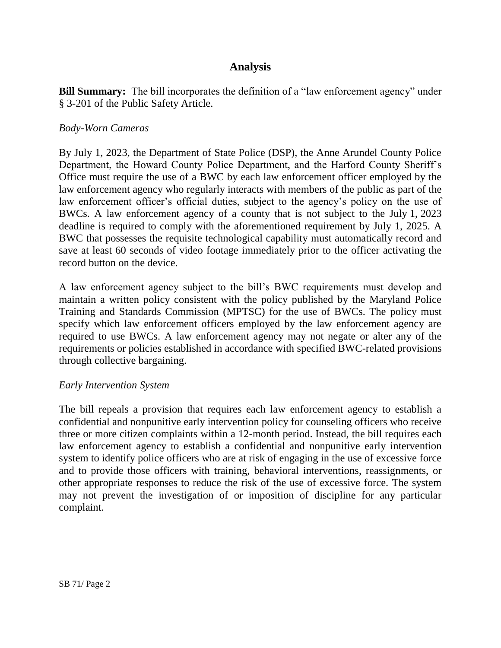# **Analysis**

**Bill Summary:** The bill incorporates the definition of a "law enforcement agency" under § 3-201 of the Public Safety Article.

### *Body-Worn Cameras*

By July 1, 2023, the Department of State Police (DSP), the Anne Arundel County Police Department, the Howard County Police Department, and the Harford County Sheriff's Office must require the use of a BWC by each law enforcement officer employed by the law enforcement agency who regularly interacts with members of the public as part of the law enforcement officer's official duties, subject to the agency's policy on the use of BWCs. A law enforcement agency of a county that is not subject to the July 1, 2023 deadline is required to comply with the aforementioned requirement by July 1, 2025. A BWC that possesses the requisite technological capability must automatically record and save at least 60 seconds of video footage immediately prior to the officer activating the record button on the device.

A law enforcement agency subject to the bill's BWC requirements must develop and maintain a written policy consistent with the policy published by the Maryland Police Training and Standards Commission (MPTSC) for the use of BWCs. The policy must specify which law enforcement officers employed by the law enforcement agency are required to use BWCs. A law enforcement agency may not negate or alter any of the requirements or policies established in accordance with specified BWC-related provisions through collective bargaining.

#### *Early Intervention System*

The bill repeals a provision that requires each law enforcement agency to establish a confidential and nonpunitive early intervention policy for counseling officers who receive three or more citizen complaints within a 12-month period. Instead, the bill requires each law enforcement agency to establish a confidential and nonpunitive early intervention system to identify police officers who are at risk of engaging in the use of excessive force and to provide those officers with training, behavioral interventions, reassignments, or other appropriate responses to reduce the risk of the use of excessive force. The system may not prevent the investigation of or imposition of discipline for any particular complaint.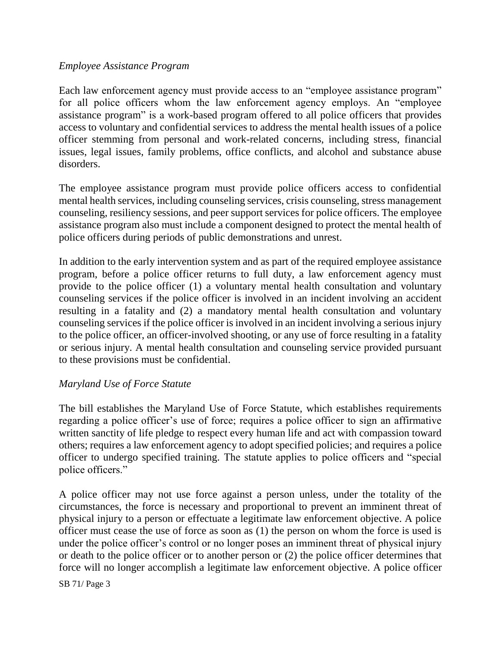### *Employee Assistance Program*

Each law enforcement agency must provide access to an "employee assistance program" for all police officers whom the law enforcement agency employs. An "employee assistance program" is a work-based program offered to all police officers that provides access to voluntary and confidential services to address the mental health issues of a police officer stemming from personal and work-related concerns, including stress, financial issues, legal issues, family problems, office conflicts, and alcohol and substance abuse disorders.

The employee assistance program must provide police officers access to confidential mental health services, including counseling services, crisis counseling, stress management counseling, resiliency sessions, and peer support services for police officers. The employee assistance program also must include a component designed to protect the mental health of police officers during periods of public demonstrations and unrest.

In addition to the early intervention system and as part of the required employee assistance program, before a police officer returns to full duty, a law enforcement agency must provide to the police officer (1) a voluntary mental health consultation and voluntary counseling services if the police officer is involved in an incident involving an accident resulting in a fatality and (2) a mandatory mental health consultation and voluntary counseling services if the police officer is involved in an incident involving a serious injury to the police officer, an officer-involved shooting, or any use of force resulting in a fatality or serious injury. A mental health consultation and counseling service provided pursuant to these provisions must be confidential.

#### *Maryland Use of Force Statute*

The bill establishes the Maryland Use of Force Statute, which establishes requirements regarding a police officer's use of force; requires a police officer to sign an affirmative written sanctity of life pledge to respect every human life and act with compassion toward others; requires a law enforcement agency to adopt specified policies; and requires a police officer to undergo specified training. The statute applies to police officers and "special police officers."

A police officer may not use force against a person unless, under the totality of the circumstances, the force is necessary and proportional to prevent an imminent threat of physical injury to a person or effectuate a legitimate law enforcement objective. A police officer must cease the use of force as soon as (1) the person on whom the force is used is under the police officer's control or no longer poses an imminent threat of physical injury or death to the police officer or to another person or (2) the police officer determines that force will no longer accomplish a legitimate law enforcement objective. A police officer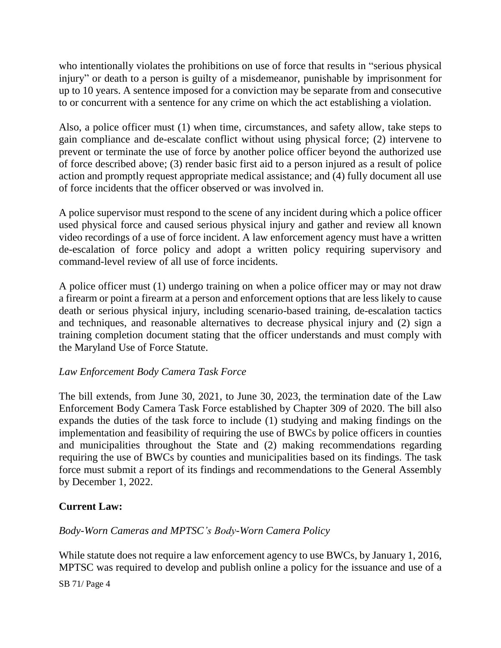who intentionally violates the prohibitions on use of force that results in "serious physical injury" or death to a person is guilty of a misdemeanor, punishable by imprisonment for up to 10 years. A sentence imposed for a conviction may be separate from and consecutive to or concurrent with a sentence for any crime on which the act establishing a violation.

Also, a police officer must (1) when time, circumstances, and safety allow, take steps to gain compliance and de-escalate conflict without using physical force; (2) intervene to prevent or terminate the use of force by another police officer beyond the authorized use of force described above; (3) render basic first aid to a person injured as a result of police action and promptly request appropriate medical assistance; and (4) fully document all use of force incidents that the officer observed or was involved in.

A police supervisor must respond to the scene of any incident during which a police officer used physical force and caused serious physical injury and gather and review all known video recordings of a use of force incident. A law enforcement agency must have a written de-escalation of force policy and adopt a written policy requiring supervisory and command-level review of all use of force incidents.

A police officer must (1) undergo training on when a police officer may or may not draw a firearm or point a firearm at a person and enforcement options that are less likely to cause death or serious physical injury, including scenario-based training, de-escalation tactics and techniques, and reasonable alternatives to decrease physical injury and (2) sign a training completion document stating that the officer understands and must comply with the Maryland Use of Force Statute.

## *Law Enforcement Body Camera Task Force*

The bill extends, from June 30, 2021, to June 30, 2023, the termination date of the Law Enforcement Body Camera Task Force established by Chapter 309 of 2020. The bill also expands the duties of the task force to include (1) studying and making findings on the implementation and feasibility of requiring the use of BWCs by police officers in counties and municipalities throughout the State and (2) making recommendations regarding requiring the use of BWCs by counties and municipalities based on its findings. The task force must submit a report of its findings and recommendations to the General Assembly by December 1, 2022.

## **Current Law:**

*Body-Worn Cameras and MPTSC's Body-Worn Camera Policy*

While statute does not require a law enforcement agency to use BWCs, by January 1, 2016, MPTSC was required to develop and publish online a policy for the issuance and use of a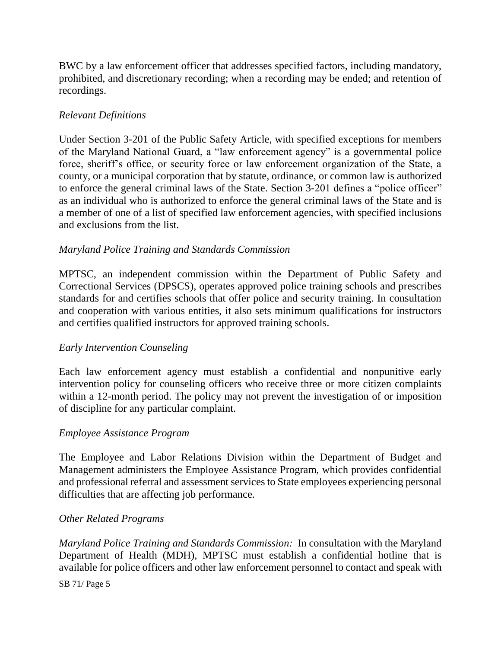BWC by a law enforcement officer that addresses specified factors, including mandatory, prohibited, and discretionary recording; when a recording may be ended; and retention of recordings.

### *Relevant Definitions*

Under Section 3-201 of the Public Safety Article, with specified exceptions for members of the Maryland National Guard, a "law enforcement agency" is a governmental police force, sheriff's office, or security force or law enforcement organization of the State, a county, or a municipal corporation that by statute, ordinance, or common law is authorized to enforce the general criminal laws of the State. Section 3-201 defines a "police officer" as an individual who is authorized to enforce the general criminal laws of the State and is a member of one of a list of specified law enforcement agencies, with specified inclusions and exclusions from the list.

### *Maryland Police Training and Standards Commission*

MPTSC, an independent commission within the Department of Public Safety and Correctional Services (DPSCS), operates approved police training schools and prescribes standards for and certifies schools that offer police and security training. In consultation and cooperation with various entities, it also sets minimum qualifications for instructors and certifies qualified instructors for approved training schools.

## *Early Intervention Counseling*

Each law enforcement agency must establish a confidential and nonpunitive early intervention policy for counseling officers who receive three or more citizen complaints within a 12-month period. The policy may not prevent the investigation of or imposition of discipline for any particular complaint.

#### *Employee Assistance Program*

The Employee and Labor Relations Division within the Department of Budget and Management administers the Employee Assistance Program, which provides confidential and professional referral and assessment services to State employees experiencing personal difficulties that are affecting job performance.

#### *Other Related Programs*

*Maryland Police Training and Standards Commission:* In consultation with the Maryland Department of Health (MDH), MPTSC must establish a confidential hotline that is available for police officers and other law enforcement personnel to contact and speak with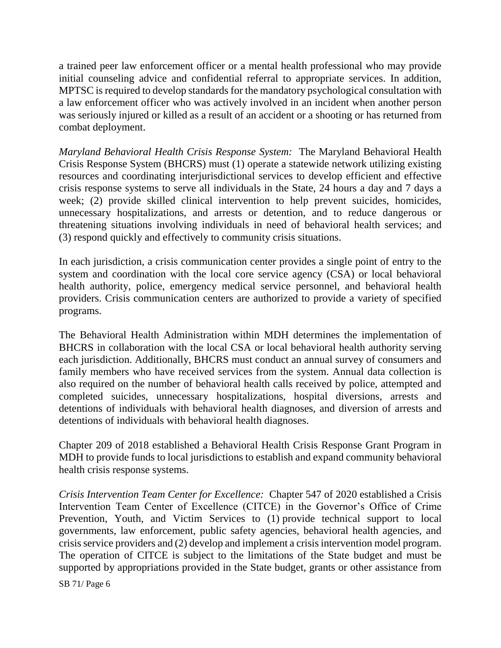a trained peer law enforcement officer or a mental health professional who may provide initial counseling advice and confidential referral to appropriate services. In addition, MPTSC is required to develop standards for the mandatory psychological consultation with a law enforcement officer who was actively involved in an incident when another person was seriously injured or killed as a result of an accident or a shooting or has returned from combat deployment.

*Maryland Behavioral Health Crisis Response System:* The Maryland Behavioral Health Crisis Response System (BHCRS) must (1) operate a statewide network utilizing existing resources and coordinating interjurisdictional services to develop efficient and effective crisis response systems to serve all individuals in the State, 24 hours a day and 7 days a week; (2) provide skilled clinical intervention to help prevent suicides, homicides, unnecessary hospitalizations, and arrests or detention, and to reduce dangerous or threatening situations involving individuals in need of behavioral health services; and (3) respond quickly and effectively to community crisis situations.

In each jurisdiction, a crisis communication center provides a single point of entry to the system and coordination with the local core service agency (CSA) or local behavioral health authority, police, emergency medical service personnel, and behavioral health providers. Crisis communication centers are authorized to provide a variety of specified programs.

The Behavioral Health Administration within MDH determines the implementation of BHCRS in collaboration with the local CSA or local behavioral health authority serving each jurisdiction. Additionally, BHCRS must conduct an annual survey of consumers and family members who have received services from the system. Annual data collection is also required on the number of behavioral health calls received by police, attempted and completed suicides, unnecessary hospitalizations, hospital diversions, arrests and detentions of individuals with behavioral health diagnoses, and diversion of arrests and detentions of individuals with behavioral health diagnoses.

Chapter 209 of 2018 established a Behavioral Health Crisis Response Grant Program in MDH to provide funds to local jurisdictions to establish and expand community behavioral health crisis response systems.

*Crisis Intervention Team Center for Excellence:* Chapter 547 of 2020 established a Crisis Intervention Team Center of Excellence (CITCE) in the Governor's Office of Crime Prevention, Youth, and Victim Services to (1) provide technical support to local governments, law enforcement, public safety agencies, behavioral health agencies, and crisis service providers and (2) develop and implement a crisis intervention model program. The operation of CITCE is subject to the limitations of the State budget and must be supported by appropriations provided in the State budget, grants or other assistance from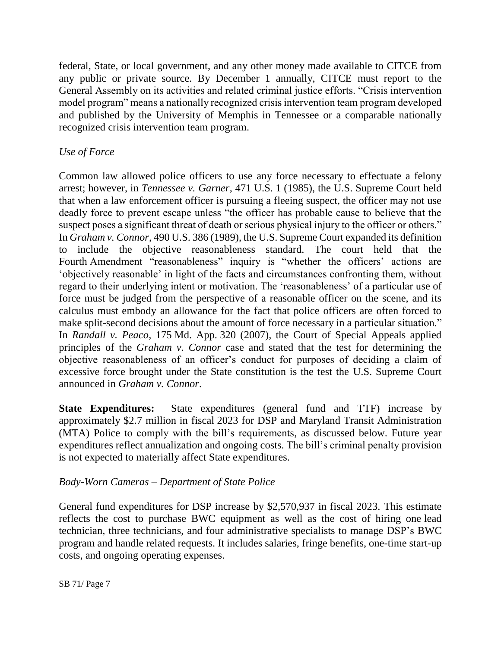federal, State, or local government, and any other money made available to CITCE from any public or private source. By December 1 annually, CITCE must report to the General Assembly on its activities and related criminal justice efforts. "Crisis intervention model program" means a nationally recognized crisis intervention team program developed and published by the University of Memphis in Tennessee or a comparable nationally recognized crisis intervention team program.

## *Use of Force*

Common law allowed police officers to use any force necessary to effectuate a felony arrest; however, in *Tennessee v. Garner*, 471 U.S. 1 (1985), the U.S. Supreme Court held that when a law enforcement officer is pursuing a fleeing suspect, the officer may not use deadly force to prevent escape unless "the officer has probable cause to believe that the suspect poses a significant threat of death or serious physical injury to the officer or others." In *Graham v. Connor*, 490 U.S. 386 (1989), the U.S. Supreme Court expanded its definition to include the objective reasonableness standard. The court held that the Fourth Amendment "reasonableness" inquiry is "whether the officers' actions are 'objectively reasonable' in light of the facts and circumstances confronting them, without regard to their underlying intent or motivation. The 'reasonableness' of a particular use of force must be judged from the perspective of a reasonable officer on the scene, and its calculus must embody an allowance for the fact that police officers are often forced to make split-second decisions about the amount of force necessary in a particular situation." In *Randall v. Peaco*, 175 Md. App. 320 (2007), the Court of Special Appeals applied principles of the *Graham v. Connor* case and stated that the test for determining the objective reasonableness of an officer's conduct for purposes of deciding a claim of excessive force brought under the State constitution is the test the U.S. Supreme Court announced in *Graham v. Connor*.

**State Expenditures:** State expenditures (general fund and TTF) increase by approximately \$2.7 million in fiscal 2023 for DSP and Maryland Transit Administration (MTA) Police to comply with the bill's requirements, as discussed below. Future year expenditures reflect annualization and ongoing costs. The bill's criminal penalty provision is not expected to materially affect State expenditures.

## *Body-Worn Cameras – Department of State Police*

General fund expenditures for DSP increase by \$2,570,937 in fiscal 2023. This estimate reflects the cost to purchase BWC equipment as well as the cost of hiring one lead technician, three technicians, and four administrative specialists to manage DSP's BWC program and handle related requests. It includes salaries, fringe benefits, one-time start-up costs, and ongoing operating expenses.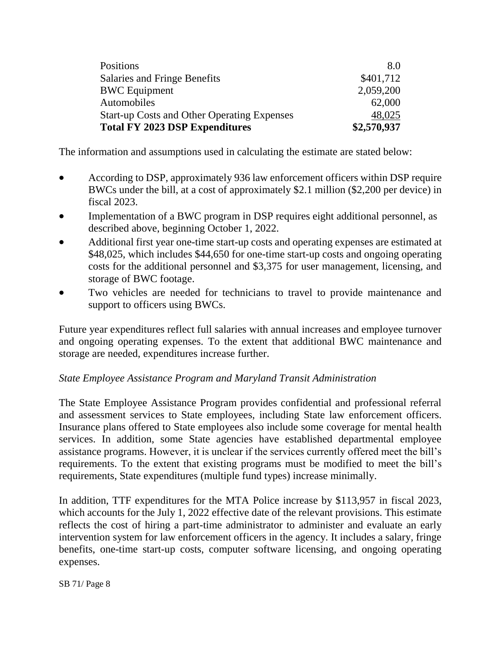| <b>Total FY 2023 DSP Expenditures</b>              | \$2,570,937 |
|----------------------------------------------------|-------------|
| <b>Start-up Costs and Other Operating Expenses</b> | 48,025      |
| Automobiles                                        | 62,000      |
| <b>BWC Equipment</b>                               | 2,059,200   |
| <b>Salaries and Fringe Benefits</b>                | \$401,712   |
| Positions                                          | 8.0         |
|                                                    |             |

The information and assumptions used in calculating the estimate are stated below:

- According to DSP, approximately 936 law enforcement officers within DSP require BWCs under the bill, at a cost of approximately \$2.1 million (\$2,200 per device) in fiscal 2023.
- Implementation of a BWC program in DSP requires eight additional personnel, as described above, beginning October 1, 2022.
- Additional first year one-time start-up costs and operating expenses are estimated at \$48,025, which includes \$44,650 for one-time start-up costs and ongoing operating costs for the additional personnel and \$3,375 for user management, licensing, and storage of BWC footage.
- Two vehicles are needed for technicians to travel to provide maintenance and support to officers using BWCs.

Future year expenditures reflect full salaries with annual increases and employee turnover and ongoing operating expenses. To the extent that additional BWC maintenance and storage are needed, expenditures increase further.

## *State Employee Assistance Program and Maryland Transit Administration*

The State Employee Assistance Program provides confidential and professional referral and assessment services to State employees, including State law enforcement officers. Insurance plans offered to State employees also include some coverage for mental health services. In addition, some State agencies have established departmental employee assistance programs. However, it is unclear if the services currently offered meet the bill's requirements. To the extent that existing programs must be modified to meet the bill's requirements, State expenditures (multiple fund types) increase minimally.

In addition, TTF expenditures for the MTA Police increase by \$113,957 in fiscal 2023, which accounts for the July 1, 2022 effective date of the relevant provisions. This estimate reflects the cost of hiring a part-time administrator to administer and evaluate an early intervention system for law enforcement officers in the agency. It includes a salary, fringe benefits, one-time start-up costs, computer software licensing, and ongoing operating expenses.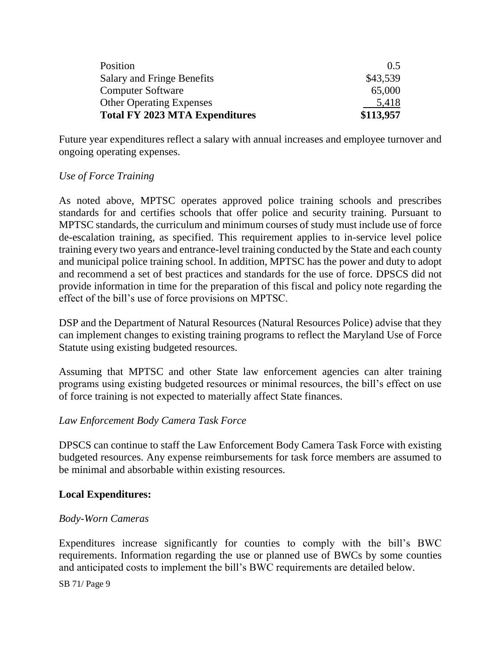| Position                              | $()$ 5    |
|---------------------------------------|-----------|
| Salary and Fringe Benefits            | \$43,539  |
| <b>Computer Software</b>              | 65,000    |
| <b>Other Operating Expenses</b>       | 5,418     |
| <b>Total FY 2023 MTA Expenditures</b> | \$113,957 |

Future year expenditures reflect a salary with annual increases and employee turnover and ongoing operating expenses.

### *Use of Force Training*

As noted above, MPTSC operates approved police training schools and prescribes standards for and certifies schools that offer police and security training. Pursuant to MPTSC standards, the curriculum and minimum courses of study must include use of force de-escalation training, as specified. This requirement applies to in-service level police training every two years and entrance-level training conducted by the State and each county and municipal police training school. In addition, MPTSC has the power and duty to adopt and recommend a set of best practices and standards for the use of force. DPSCS did not provide information in time for the preparation of this fiscal and policy note regarding the effect of the bill's use of force provisions on MPTSC.

DSP and the Department of Natural Resources (Natural Resources Police) advise that they can implement changes to existing training programs to reflect the Maryland Use of Force Statute using existing budgeted resources.

Assuming that MPTSC and other State law enforcement agencies can alter training programs using existing budgeted resources or minimal resources, the bill's effect on use of force training is not expected to materially affect State finances.

## *Law Enforcement Body Camera Task Force*

DPSCS can continue to staff the Law Enforcement Body Camera Task Force with existing budgeted resources. Any expense reimbursements for task force members are assumed to be minimal and absorbable within existing resources.

#### **Local Expenditures:**

#### *Body-Worn Cameras*

Expenditures increase significantly for counties to comply with the bill's BWC requirements. Information regarding the use or planned use of BWCs by some counties and anticipated costs to implement the bill's BWC requirements are detailed below.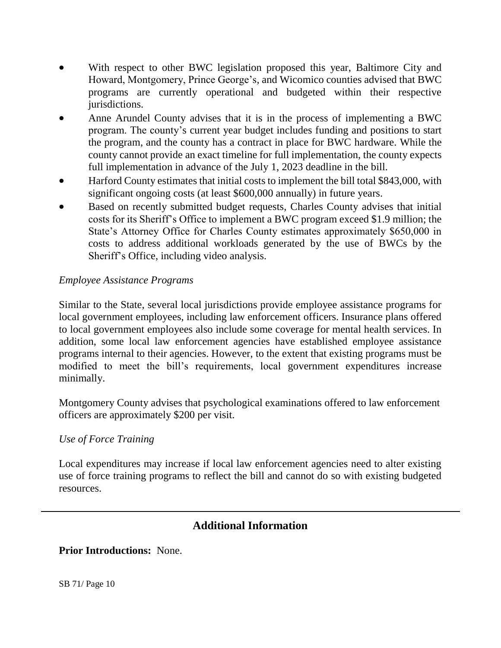- With respect to other BWC legislation proposed this year, Baltimore City and Howard, Montgomery, Prince George's, and Wicomico counties advised that BWC programs are currently operational and budgeted within their respective jurisdictions.
- Anne Arundel County advises that it is in the process of implementing a BWC program. The county's current year budget includes funding and positions to start the program, and the county has a contract in place for BWC hardware. While the county cannot provide an exact timeline for full implementation, the county expects full implementation in advance of the July 1, 2023 deadline in the bill.
- Harford County estimates that initial costs to implement the bill total \$843,000, with significant ongoing costs (at least \$600,000 annually) in future years.
- Based on recently submitted budget requests, Charles County advises that initial costs for its Sheriff's Office to implement a BWC program exceed \$1.9 million; the State's Attorney Office for Charles County estimates approximately \$650,000 in costs to address additional workloads generated by the use of BWCs by the Sheriff's Office, including video analysis.

## *Employee Assistance Programs*

Similar to the State, several local jurisdictions provide employee assistance programs for local government employees, including law enforcement officers. Insurance plans offered to local government employees also include some coverage for mental health services. In addition, some local law enforcement agencies have established employee assistance programs internal to their agencies. However, to the extent that existing programs must be modified to meet the bill's requirements, local government expenditures increase minimally.

Montgomery County advises that psychological examinations offered to law enforcement officers are approximately \$200 per visit.

#### *Use of Force Training*

Local expenditures may increase if local law enforcement agencies need to alter existing use of force training programs to reflect the bill and cannot do so with existing budgeted resources.

## **Additional Information**

**Prior Introductions:** None.